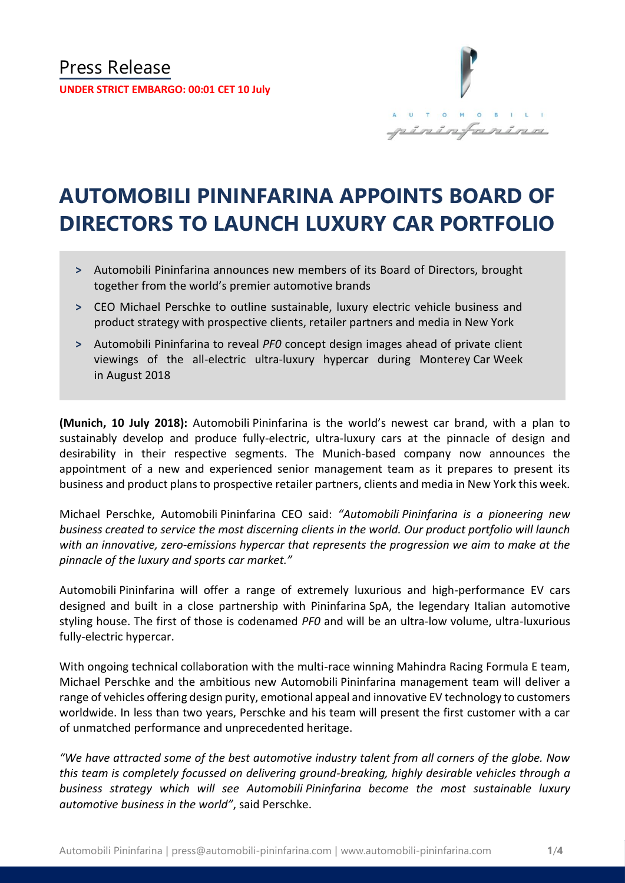

# **AUTOMOBILI PININFARINA APPOINTS BOARD OF DIRECTORS TO LAUNCH LUXURY CAR PORTFOLIO**

- **˃** Automobili Pininfarina announces new members of its Board of Directors, brought together from the world's premier automotive brands
- **˃** CEO Michael Perschke to outline sustainable, luxury electric vehicle business and product strategy with prospective clients, retailer partners and media in New York
- **˃** Automobili Pininfarina to reveal *PF0* concept design images ahead of private client viewings of the all-electric ultra-luxury hypercar during Monterey Car Week in August 2018

**(Munich, 10 July 2018):** Automobili Pininfarina is the world's newest car brand, with a plan to sustainably develop and produce fully-electric, ultra-luxury cars at the pinnacle of design and desirability in their respective segments. The Munich-based company now announces the appointment of a new and experienced senior management team as it prepares to present its business and product plans to prospective retailer partners, clients and media in New York this week.

Michael Perschke, Automobili Pininfarina CEO said: *"Automobili Pininfarina is a pioneering new business created to service the most discerning clients in the world. Our product portfolio will launch with an innovative, zero-emissions hypercar that represents the progression we aim to make at the pinnacle of the luxury and sports car market."*

Automobili Pininfarina will offer a range of extremely luxurious and high-performance EV cars designed and built in a close partnership with Pininfarina SpA, the legendary Italian automotive styling house. The first of those is codenamed *PF0* and will be an ultra-low volume, ultra-luxurious fully-electric hypercar.

With ongoing technical collaboration with the multi-race winning Mahindra Racing Formula E team, Michael Perschke and the ambitious new Automobili Pininfarina management team will deliver a range of vehicles offering design purity, emotional appeal and innovative EV technology to customers worldwide. In less than two years, Perschke and his team will present the first customer with a car of unmatched performance and unprecedented heritage.

*"We have attracted some of the best automotive industry talent from all corners of the globe. Now this team is completely focussed on delivering ground-breaking, highly desirable vehicles through a business strategy which will see Automobili Pininfarina become the most sustainable luxury automotive business in the world"*, said Perschke.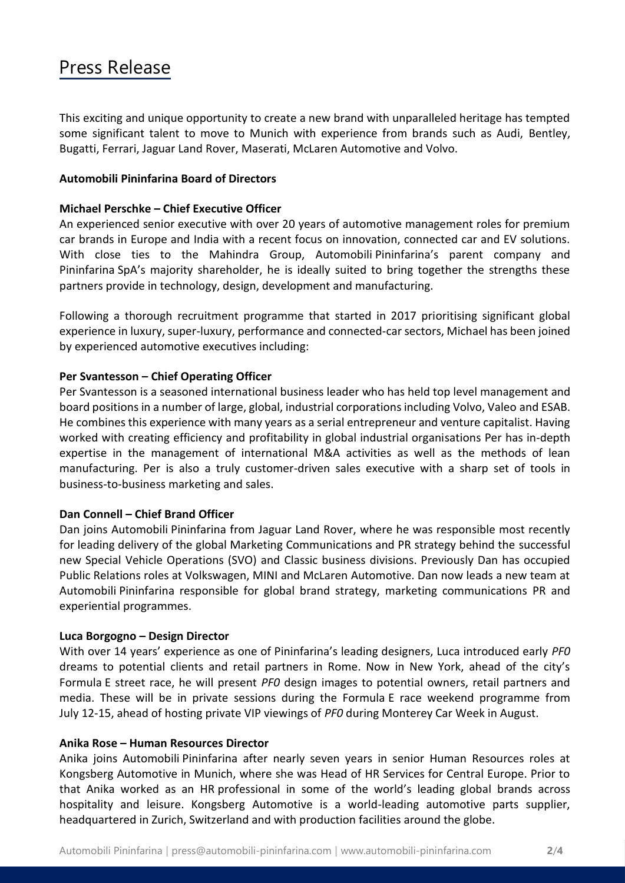# Press Release

This exciting and unique opportunity to create a new brand with unparalleled heritage has tempted some significant talent to move to Munich with experience from brands such as Audi, Bentley, Bugatti, Ferrari, Jaguar Land Rover, Maserati, McLaren Automotive and Volvo.

# **Automobili Pininfarina Board of Directors**

## **Michael Perschke – Chief Executive Officer**

An experienced senior executive with over 20 years of automotive management roles for premium car brands in Europe and India with a recent focus on innovation, connected car and EV solutions. With close ties to the Mahindra Group, Automobili Pininfarina's parent company and Pininfarina SpA's majority shareholder, he is ideally suited to bring together the strengths these partners provide in technology, design, development and manufacturing.

Following a thorough recruitment programme that started in 2017 prioritising significant global experience in luxury, super-luxury, performance and connected-car sectors, Michael has been joined by experienced automotive executives including:

# **Per Svantesson – Chief Operating Officer**

Per Svantesson is a seasoned international business leader who has held top level management and board positions in a number of large, global, industrial corporations including Volvo, Valeo and ESAB. He combines this experience with many years as a serial entrepreneur and venture capitalist. Having worked with creating efficiency and profitability in global industrial organisations Per has in-depth expertise in the management of international M&A activities as well as the methods of lean manufacturing. Per is also a truly customer-driven sales executive with a sharp set of tools in business-to-business marketing and sales.

### **Dan Connell – Chief Brand Officer**

Dan joins Automobili Pininfarina from Jaguar Land Rover, where he was responsible most recently for leading delivery of the global Marketing Communications and PR strategy behind the successful new Special Vehicle Operations (SVO) and Classic business divisions. Previously Dan has occupied Public Relations roles at Volkswagen, MINI and McLaren Automotive. Dan now leads a new team at Automobili Pininfarina responsible for global brand strategy, marketing communications PR and experiential programmes.

### **Luca Borgogno – Design Director**

With over 14 years' experience as one of Pininfarina's leading designers, Luca introduced early *PF0* dreams to potential clients and retail partners in Rome. Now in New York, ahead of the city's Formula E street race, he will present *PF0* design images to potential owners, retail partners and media. These will be in private sessions during the Formula E race weekend programme from July 12-15, ahead of hosting private VIP viewings of *PF0* during Monterey Car Week in August.

# **Anika Rose – Human Resources Director**

Anika joins Automobili Pininfarina after nearly seven years in senior Human Resources roles at Kongsberg Automotive in Munich, where she was Head of HR Services for Central Europe. Prior to that Anika worked as an HR professional in some of the world's leading global brands across hospitality and leisure. Kongsberg Automotive is a world-leading automotive parts supplier, headquartered in Zurich, Switzerland and with production facilities around the globe.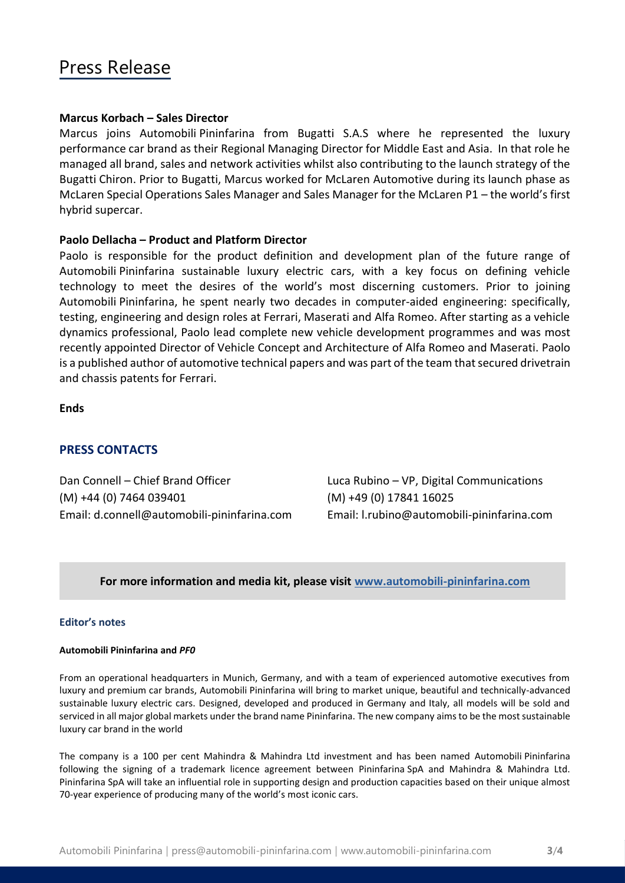# Press Release

#### **Marcus Korbach – Sales Director**

Marcus joins Automobili Pininfarina from Bugatti S.A.S where he represented the luxury performance car brand as their Regional Managing Director for Middle East and Asia. In that role he managed all brand, sales and network activities whilst also contributing to the launch strategy of the Bugatti Chiron. Prior to Bugatti, Marcus worked for McLaren Automotive during its launch phase as McLaren Special Operations Sales Manager and Sales Manager for the McLaren P1 – the world's first hybrid supercar.

#### **Paolo Dellacha – Product and Platform Director**

Paolo is responsible for the product definition and development plan of the future range of Automobili Pininfarina sustainable luxury electric cars, with a key focus on defining vehicle technology to meet the desires of the world's most discerning customers. Prior to joining Automobili Pininfarina, he spent nearly two decades in computer-aided engineering: specifically, testing, engineering and design roles at Ferrari, Maserati and Alfa Romeo. After starting as a vehicle dynamics professional, Paolo lead complete new vehicle development programmes and was most recently appointed Director of Vehicle Concept and Architecture of Alfa Romeo and Maserati. Paolo is a published author of automotive technical papers and was part of the team that secured drivetrain and chassis patents for Ferrari.

#### **Ends**

### **PRESS CONTACTS**

Dan Connell – Chief Brand Officer Luca Rubino – VP, Digital Communications (M) +44 (0) 7464 039401 (M) +49 (0) 17841 16025 Email: d.connell@automobili-pininfarina.com Email: [l.rubino@automobili-pininfarina.com](mailto:l.rubino@automobili-pininfarina.com)

#### **For more information and media kit, please visit [www.automobili-pininfarina.com](http://www.automobili-pininfarina.com/)**

#### **Editor's notes**

#### **Automobili Pininfarina and** *PF0*

From an operational headquarters in Munich, Germany, and with a team of experienced automotive executives from luxury and premium car brands, Automobili Pininfarina will bring to market unique, beautiful and technically-advanced sustainable luxury electric cars. Designed, developed and produced in Germany and Italy, all models will be sold and serviced in all major global markets under the brand name Pininfarina. The new company aims to be the most sustainable luxury car brand in the world

The company is a 100 per cent Mahindra & Mahindra Ltd investment and has been named Automobili Pininfarina following the signing of a trademark licence agreement between Pininfarina SpA and Mahindra & Mahindra Ltd. Pininfarina SpA will take an influential role in supporting design and production capacities based on their unique almost 70-year experience of producing many of the world's most iconic cars.